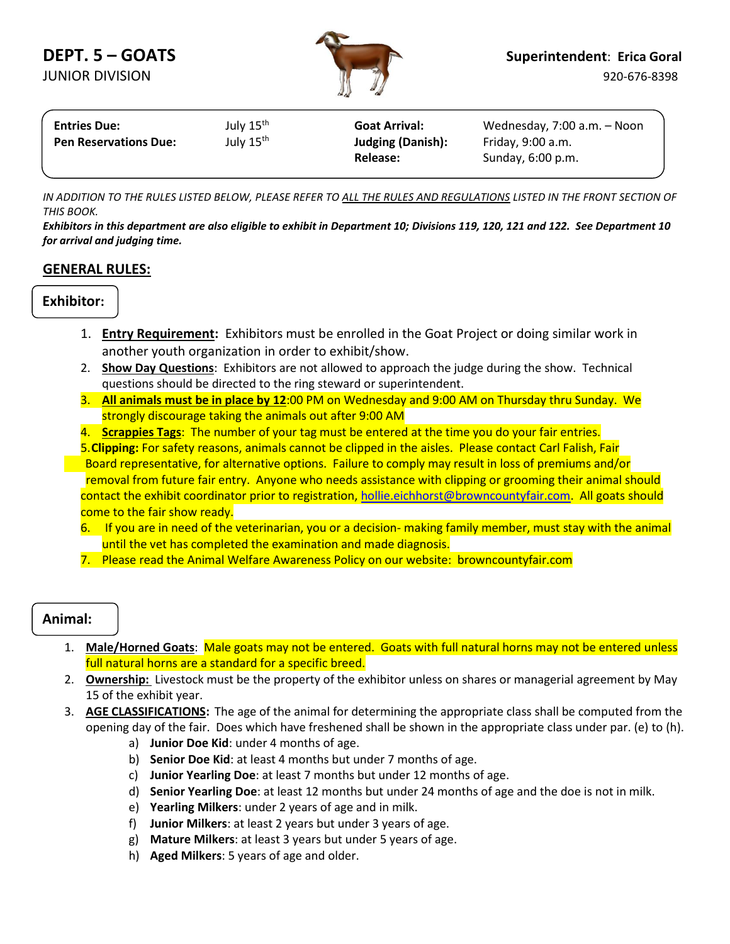

| <b>Entries Due:</b>          | July 15 <sup>th</sup> | <b>Goat Arrival:</b>     | Wednesday, 7:00 a.m. - Noon |  |  |
|------------------------------|-----------------------|--------------------------|-----------------------------|--|--|
| <b>Pen Reservations Due:</b> | July 15 <sup>th</sup> | <b>Judging (Danish):</b> | Friday, 9:00 a.m.           |  |  |
|                              |                       | Release:                 | Sunday, 6:00 p.m.           |  |  |
|                              |                       |                          |                             |  |  |

*IN ADDITION TO THE RULES LISTED BELOW, PLEASE REFER TO ALL THE RULES AND REGULATIONS LISTED IN THE FRONT SECTION OF THIS BOOK.*

*Exhibitors in this department are also eligible to exhibit in Department 10; Divisions 119, 120, 121 and 122. See Department 10 for arrival and judging time.*

### **GENERAL RULES:**

### **Exhibitor:**

- 1. **Entry Requirement:** Exhibitors must be enrolled in the Goat Project or doing similar work in another youth organization in order to exhibit/show.
- 2. **Show Day Questions**: Exhibitors are not allowed to approach the judge during the show. Technical questions should be directed to the ring steward or superintendent.
- 3. **All animals must be in place by 12**:00 PM on Wednesday and 9:00 AM on Thursday thru Sunday. We strongly discourage taking the animals out after 9:00 AM
- 4. **Scrappies Tags**: The number of your tag must be entered at the time you do your fair entries.

5.**Clipping:** For safety reasons, animals cannot be clipped in the aisles. Please contact Carl Falish, Fair Board representative, for alternative options. Failure to comply may result in loss of premiums and/or removal from future fair entry. Anyone who needs assistance with clipping or grooming their animal should contact the exhibit coordinator prior to registration[, hollie.eichhorst@browncountyfair.com.](mailto:hollie.eichhorst@browncountyfair.com) All goats should come to the fair show ready.

- 6. If you are in need of the veterinarian, you or a decision- making family member, must stay with the animal until the vet has completed the examination and made diagnosis.
- 7. Please read the Animal Welfare Awareness Policy on our website: browncountyfair.com

## **Animal:**

- 1. **Male/Horned Goats**: Male goats may not be entered. Goats with full natural horns may not be entered unless full natural horns are a standard for a specific breed.
- 2. **Ownership:** Livestock must be the property of the exhibitor unless on shares or managerial agreement by May 15 of the exhibit year.
- 3. **AGE CLASSIFICATIONS:** The age of the animal for determining the appropriate class shall be computed from the opening day of the fair. Does which have freshened shall be shown in the appropriate class under par. (e) to (h).
	- a) **Junior Doe Kid**: under 4 months of age.
	- b) **Senior Doe Kid**: at least 4 months but under 7 months of age.
	- c) **Junior Yearling Doe**: at least 7 months but under 12 months of age.
	- d) **Senior Yearling Doe**: at least 12 months but under 24 months of age and the doe is not in milk.
	- e) **Yearling Milkers**: under 2 years of age and in milk.
	- f) **Junior Milkers**: at least 2 years but under 3 years of age.
	- g) **Mature Milkers**: at least 3 years but under 5 years of age.
	- h) **Aged Milkers**: 5 years of age and older.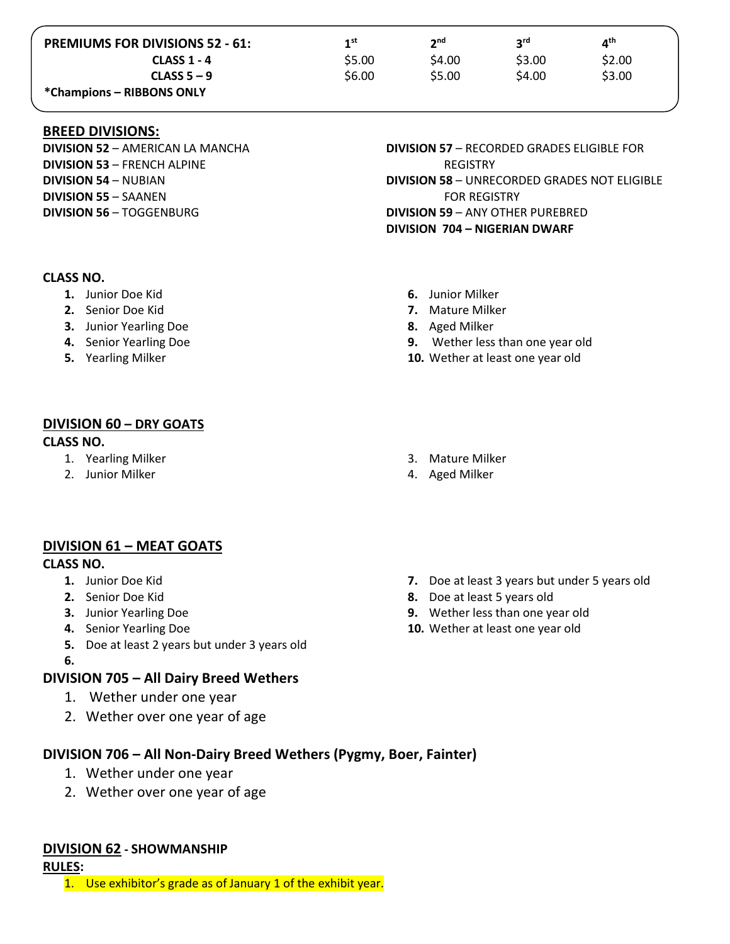| <b>PREMIUMS FOR DIVISIONS 52 - 61:</b> | 1 <sub>st</sub> | າnd    | <b>S</b> ta | 4 <sup>th</sup> |
|----------------------------------------|-----------------|--------|-------------|-----------------|
| <b>CLASS 1 - 4</b>                     | \$5.00          | \$4.00 | S3.00       | \$2.00          |
| CLASS $5 - 9$                          | \$6.00          | \$5.00 | \$4.00      | \$3.00          |
| *Champions – RIBBONS ONLY              |                 |        |             |                 |

#### **BREED DIVISIONS:**

**DIVISION 52** – AMERICAN LA MANCHA **DIVISION 53** – FRENCH ALPINE **DIVISION 54** – NUBIAN **DIVISION 55** – SAANEN **DIVISION 56** – TOGGENBURG

#### **CLASS NO.**

- **1.** Junior Doe Kid
- **2.** Senior Doe Kid
- **3.** Junior Yearling Doe
- **4.** Senior Yearling Doe
- **5.** Yearling Milker

**DIVISION 57** – RECORDED GRADES ELIGIBLE FOR REGISTRY **DIVISION 58** – UNRECORDED GRADES NOT ELIGIBLE FOR REGISTRY **DIVISION 59** – ANY OTHER PUREBRED **DIVISION 704 – NIGERIAN DWARF**

- **6.** Junior Milker
- **7.** Mature Milker
- **8.** Aged Milker
- **9.** Wether less than one year old
- **10.** Wether at least one year old

#### **DIVISION 60 – DRY GOATS CLASS NO.**

- 1. Yearling Milker
- 2. Junior Milker

#### 3. Mature Milker

4. Aged Milker

## **DIVISION 61 – MEAT GOATS**

#### **CLASS NO.**

- **1.** Junior Doe Kid
- **2.** Senior Doe Kid
- **3.** Junior Yearling Doe
- **4.** Senior Yearling Doe
- **5.** Doe at least 2 years but under 3 years old
- **6.**

# **DIVISION 705 – All Dairy Breed Wethers**

- 1. Wether under one year
- 2. Wether over one year of age

# **DIVISION 706 – All Non-Dairy Breed Wethers (Pygmy, Boer, Fainter)**

- 1. Wether under one year
- 2. Wether over one year of age

## **DIVISION 62 - SHOWMANSHIP**

**RULES:**

1. Use exhibitor's grade as of January 1 of the exhibit year.

- **7.** Doe at least 3 years but under 5 years old
- **8.** Doe at least 5 years old
- **9.** Wether less than one year old
- **10.** Wether at least one year old